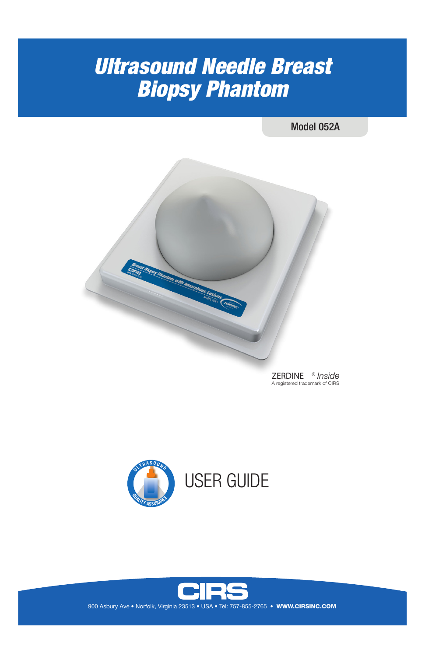# *Ultrasound Needle Breast Biopsy Phantom*

Model 052A







900 Asbury Ave • Norfolk, Virginia 23513 • USA • Tel: 757-855-2765 • WWW.CIRSINC.COM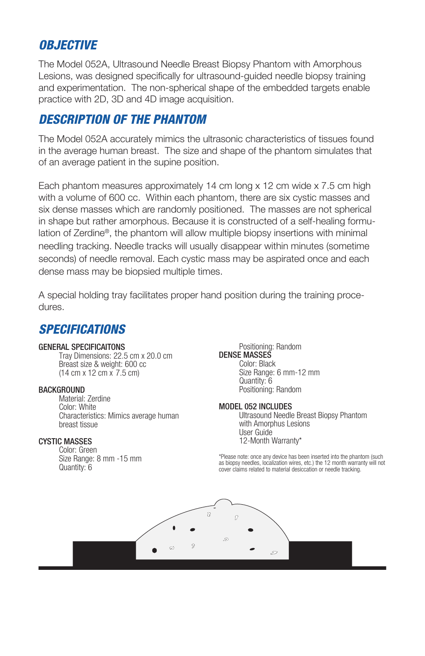## *OBJECTIVE*

The Model 052A, Ultrasound Needle Breast Biopsy Phantom with Amorphous Lesions, was designed specifically for ultrasound-guided needle biopsy training and experimentation. The non-spherical shape of the embedded targets enable practice with 2D, 3D and 4D image acquisition.

# *DESCRIPTION OF THE PHANTOM*

The Model 052A accurately mimics the ultrasonic characteristics of tissues found in the average human breast. The size and shape of the phantom simulates that of an average patient in the supine position.

Each phantom measures approximately 14 cm long x 12 cm wide x 7.5 cm high with a volume of 600 cc. Within each phantom, there are six cystic masses and six dense masses which are randomly positioned. The masses are not spherical in shape but rather amorphous. Because it is constructed of a self-healing formulation of Zerdine®, the phantom will allow multiple biopsy insertions with minimal needling tracking. Needle tracks will usually disappear within minutes (sometime seconds) of needle removal. Each cystic mass may be aspirated once and each dense mass may be biopsied multiple times.

A special holding tray facilitates proper hand position during the training procedures.

### *SPECIFICATIONS*

#### GENERAL SPECIFICAITONS

Tray Dimensions: 22.5 cm x 20.0 cm Breast size & weight: 600 cc (14 cm x 12 cm x 7.5 cm)

#### **BACKGROUND**

Material: Zerdine Color: White Characteristics: Mimics average human breast tissue

#### CYSTIC MASSES

Color: Green Size Range: 8 mm -15 mm Quantity: 6

Positioning: Random DENSE MASSES Color: Black Size Range: 6 mm-12 mm Quantity: 6 Positioning: Random

#### MODEL 052 INCLUDES

Ultrasound Needle Breast Biopsy Phantom with Amorphus Lesions User Guide 12-Month Warranty\*

\*Please note: once any device has been inserted into the phantom (such as biopsy needles, localization wires, etc.) the 12 month warranty will not cover claims related to material desiccation or needle tracking.

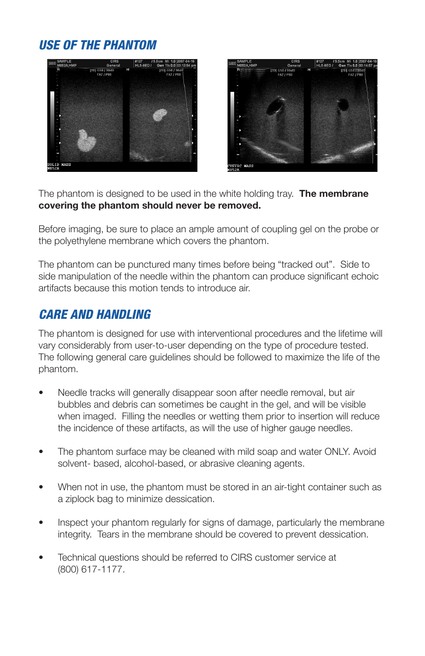# *USE OF THE PHANTOM*





The phantom is designed to be used in the white holding tray. **The membrane covering the phantom should never be removed.** 

Before imaging, be sure to place an ample amount of coupling gel on the probe or the polyethylene membrane which covers the phantom.

The phantom can be punctured many times before being "tracked out". Side to side manipulation of the needle within the phantom can produce significant echoic artifacts because this motion tends to introduce air.

### *CARE AND HANDLING*

The phantom is designed for use with interventional procedures and the lifetime will vary considerably from user-to-user depending on the type of procedure tested. The following general care guidelines should be followed to maximize the life of the phantom.

- Needle tracks will generally disappear soon after needle removal, but air bubbles and debris can sometimes be caught in the gel, and will be visible when imaged. Filling the needles or wetting them prior to insertion will reduce the incidence of these artifacts, as will the use of higher gauge needles.
- The phantom surface may be cleaned with mild soap and water ONLY. Avoid solvent- based, alcohol-based, or abrasive cleaning agents.
- When not in use, the phantom must be stored in an air-tight container such as a ziplock bag to minimize dessication.
- Inspect your phantom regularly for signs of damage, particularly the membrane integrity. Tears in the membrane should be covered to prevent dessication.
- Technical questions should be referred to CIRS customer service at (800) 617-1177.